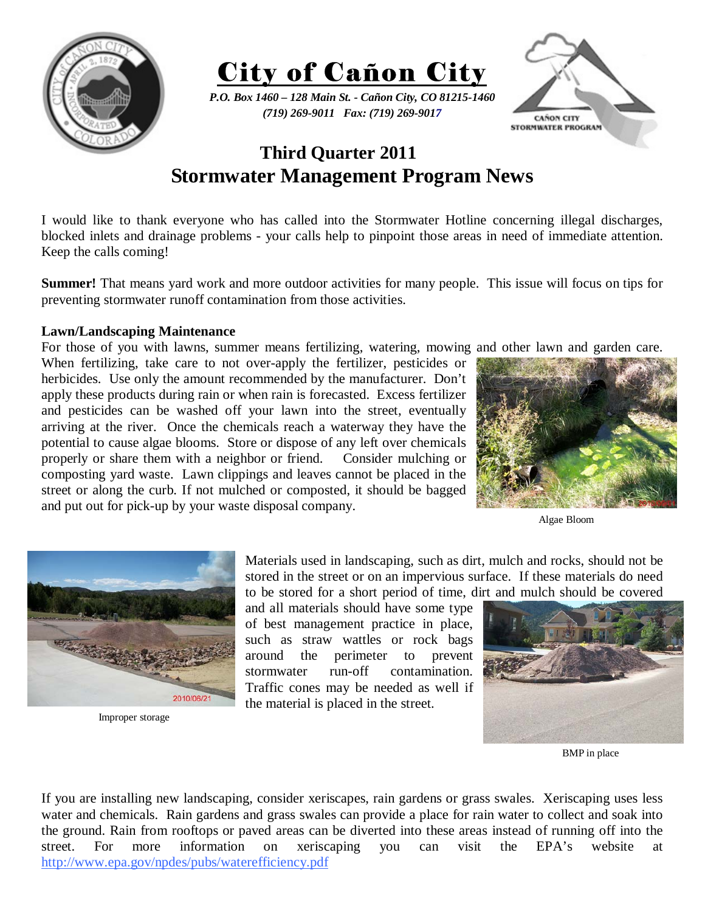



*P.O. Box 1460 – 128 Main St. - Cañon City, CO 81215-1460 (719) 269-9011 Fax: (719) 269-9017* 



## **Third Quarter 2011 Stormwater Management Program News**

I would like to thank everyone who has called into the Stormwater Hotline concerning illegal discharges, blocked inlets and drainage problems - your calls help to pinpoint those areas in need of immediate attention. Keep the calls coming!

**Summer!** That means yard work and more outdoor activities for many people. This issue will focus on tips for preventing stormwater runoff contamination from those activities.

## **Lawn/Landscaping Maintenance**

For those of you with lawns, summer means fertilizing, watering, mowing and other lawn and garden care. When fertilizing, take care to not over-apply the fertilizer, pesticides or herbicides. Use only the amount recommended by the manufacturer. Don't apply these products during rain or when rain is forecasted. Excess fertilizer and pesticides can be washed off your lawn into the street, eventually arriving at the river. Once the chemicals reach a waterway they have the potential to cause algae blooms. Store or dispose of any left over chemicals properly or share them with a neighbor or friend. Consider mulching or composting yard waste. Lawn clippings and leaves cannot be placed in the street or along the curb. If not mulched or composted, it should be bagged and put out for pick-up by your waste disposal company.



Algae Bloom



Improper storage

Materials used in landscaping, such as dirt, mulch and rocks, should not be stored in the street or on an impervious surface. If these materials do need to be stored for a short period of time, dirt and mulch should be covered

and all materials should have some type of best management practice in place, such as straw wattles or rock bags around the perimeter to prevent stormwater run-off contamination. Traffic cones may be needed as well if the material is placed in the street.



BMP in place

If you are installing new landscaping, consider xeriscapes, rain gardens or grass swales. Xeriscaping uses less water and chemicals. Rain gardens and grass swales can provide a place for rain water to collect and soak into the ground. Rain from rooftops or paved areas can be diverted into these areas instead of running off into the street. For more information on xeriscaping you can visit the EPA's website at http://www.epa.gov/npdes/pubs/waterefficiency.pdf